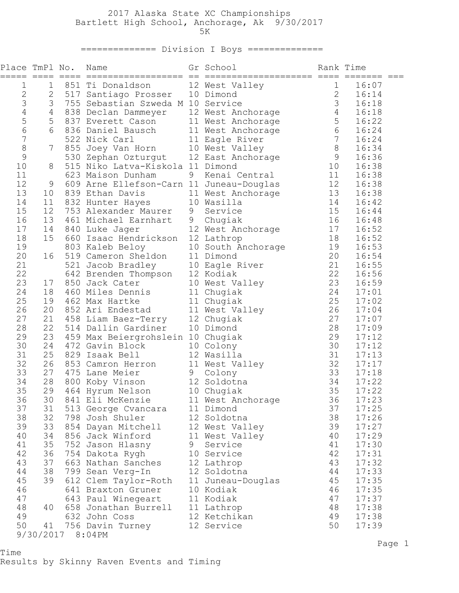## 2017 Alaska State XC Championships Bartlett High School, Anchorage, Ak 9/30/2017<br>5K  $5K$

## ============== Division I Boys ==============

| Place TmPl No. |                |                  | Name                                                                                       |   | Gr School                 | Rank Time      |                |
|----------------|----------------|------------------|--------------------------------------------------------------------------------------------|---|---------------------------|----------------|----------------|
| 1              | 1              |                  | 851 Ti Donaldson                                                                           |   | 12 West Valley            | $\mathbf 1$    | 16:07          |
| $\mathbf{2}$   | $\mathbf{2}$   |                  | 517 Santiago Prosser 10 Dimond                                                             |   |                           | $\sqrt{2}$     | 16:14          |
| 3              | 3              |                  | 755 Sebastian Szweda M 10 Service                                                          |   |                           | $\mathfrak{Z}$ | 16:18          |
| $\overline{4}$ | $\overline{4}$ |                  | 838 Declan Dammeyer                                                                        |   | 12 West Anchorage         | $\overline{4}$ | 16:18          |
| 5              | 5              |                  | 837 Everett Cason                                                                          |   | 11 West Anchorage         | $\mathsf S$    | 16:22          |
| $\sqrt{6}$     | 6              |                  | 836 Daniel Bausch                                                                          |   | 11 West Anchorage         | $\epsilon$     | 16:24          |
| 7              |                |                  | 522 Nick Carl                                                                              |   | 11 Eagle River            | $\sqrt{ }$     | 16:24          |
| $\,8\,$        | $7\phantom{.}$ |                  | 855 Joey Van Horn                                                                          |   | 10 West Valley            | $\,8\,$        | 16:34          |
| $\mathsf 9$    |                |                  | 530 Zephan Ozturgut 12 East Anchorage                                                      |   |                           | $\mathsf 9$    | 16:36          |
| 10             | 8              |                  | 515 Niko Latva-Kiskola 11 Dimond                                                           |   |                           | 10             | 16:38          |
| 11             |                |                  | 623 Maison Dunham                                                                          | 9 | Kenai Central             | 11             | 16:38          |
| 12             | 9              |                  | 609 Arne Ellefson-Carn 11 Juneau-Douglas                                                   |   |                           | 12             | 16:38          |
| 13             | 10             |                  | 839 Ethan Davis                                                                            |   | 11 West Anchorage         | 13             | 16:38          |
| 14             | 11             |                  | 832 Hunter Hayes                                                                           |   | 10 Wasilla                | 14             | 16:42          |
| 15             | 12             |                  | 753 Alexander Maurer                                                                       | 9 | Service                   | 15             | 16:44          |
| 16             | 13             |                  | 461 Michael Earnhart                                                                       | 9 | Chugiak                   | 16             | 16:48          |
| 17             | 14             |                  | 840 Luke Jager                                                                             |   | 12 West Anchorage         | 17             | 16:52          |
| 18             | 15             |                  | 660 Isaac Hendrickson                                                                      |   | 12 Lathrop                | 18             | 16:52          |
| 19             |                |                  | 803 Kaleb Beloy                                                                            |   | 10 South Anchorage        | 19             | 16:53          |
| 20             | 16             |                  | 519 Cameron Sheldon                                                                        |   | 11 Dimond                 | 20             | 16:54          |
| 21             |                |                  | 521 Jacob Bradley<br>521 Jacob Bradley      10 Eagle I<br>642 Brenden Thompson   12 Kodiak |   | 10 Eagle River            | 21             | 16:55          |
| 22             |                |                  |                                                                                            |   |                           | 22             | 16:56          |
| 23             | 17             |                  | 850 Jack Cater                                                                             |   | 10 West Valley            | 23             | 16:59          |
| 24             | 18             |                  | 460 Miles Dennis                                                                           |   | 11 Chugiak                | 24             | 17:01          |
| 25             | 19             |                  | 462 Max Hartke                                                                             |   | 11 Chugiak                | 25             | 17:02          |
| 26             | 20             |                  | 852 Ari Endestad                                                                           |   | 11 West Valley            | 26             | 17:04          |
| 27             | 21             |                  | 458 Liam Baez-Terry                                                                        |   | 12 Chugiak                | 27             | 17:07          |
| 28             | 22             |                  | 514 Dallin Gardiner                                                                        |   | 10 Dimond                 | 28             | 17:09          |
| 29             | 23             |                  | 459 Max Beiergrohslein 10 Chugiak                                                          |   |                           | 29             | 17:12          |
| 30             | 24             |                  | 472 Gavin Block                                                                            |   | 10 Colony                 | 30             | 17:12          |
| 31             | 25             |                  | 829 Isaak Bell                                                                             |   | 12 Wasilla                | 31             | 17:13          |
| 32             | 26             |                  | 853 Camron Herron                                                                          |   | 11 West Valley            | 32             | 17:17          |
| 33             | 27             |                  | 475 Lane Meier                                                                             |   | 9 Colony                  | 33             | 17:18          |
| 34             | 28             |                  | 800 Koby Vinson                                                                            |   | 12 Soldotna               | 34             | 17:22          |
| 35             | 29             |                  | 464 Hyrum Nelson                                                                           |   | 10 Chugiak                | 35             | 17:22          |
| 36             | 30             |                  | 841 Eli McKenzie                                                                           |   | 11 West Anchorage         | 36<br>37       | 17:23          |
| 37             | 31<br>32       |                  | 513 George Cvancara                                                                        |   | 11 Dimond                 | 38             | 17:25          |
| 38             | 33             |                  | 798 Josh Shuler                                                                            |   | 12 Soldotna               | 39             | 17:26          |
| 39<br>40       | 34             |                  | 854 Dayan Mitchell                                                                         |   | 12 West Valley            | 40             | 17:27          |
| 41             | 35             |                  | 856 Jack Winford<br>752 Jason Hlasny                                                       | 9 | 11 West Valley<br>Service | 41             | 17:29<br>17:30 |
| 42             | 36             |                  |                                                                                            |   | 10 Service                | 42             | 17:31          |
| 43             | 37             |                  | 754 Dakota Rygh<br>663 Nathan Sanches                                                      |   | 12 Lathrop                | 43             | 17:32          |
| 44             | 38             |                  | 799 Sean Verg-In                                                                           |   | 12 Soldotna               | 44             | 17:33          |
| 45             | 39             |                  | 612 Clem Taylor-Roth                                                                       |   | 11 Juneau-Douglas         | 45             | 17:35          |
| 46             |                |                  | 641 Braxton Gruner                                                                         |   | 10 Kodiak                 | 46             | 17:35          |
| 47             |                |                  | 643 Paul Winegeart                                                                         |   | 11 Kodiak                 | 47             | 17:37          |
| 48             | 40             |                  | 658 Jonathan Burrell                                                                       |   | 11 Lathrop                | 48             | 17:38          |
| 49             |                |                  | 632 John Coss                                                                              |   | 12 Ketchikan              | 49             | 17:38          |
| 50             | 41             |                  | 756 Davin Turney                                                                           |   | 12 Service                | 50             | 17:39          |
|                |                | 9/30/2017 8:04PM |                                                                                            |   |                           |                |                |

Time Results by Skinny Raven Events and Timing